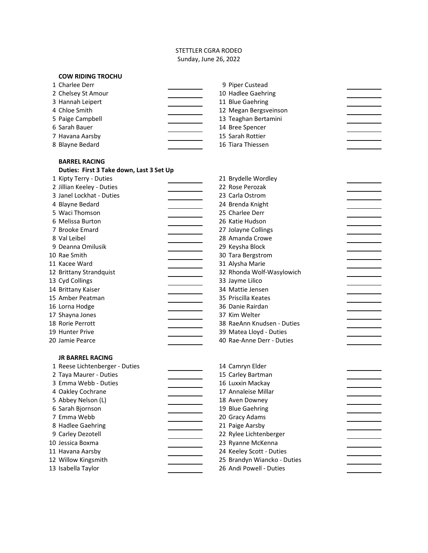## STETTLER CGRA RODEO Sunday, June 26, 2022

| <b>COW RIDING TROCHU</b>                 |                                        |  |
|------------------------------------------|----------------------------------------|--|
| 1 Charlee Derr                           | 9 Piper Custead                        |  |
| 2 Chelsey St Amour                       | 10 Hadlee Gaehring                     |  |
| 3 Hannah Leipert                         | 11 Blue Gaehring                       |  |
| 4 Chloe Smith                            | 12 Megan Bergsveinson                  |  |
| 5 Paige Campbell                         | 13 Teaghan Bertamini                   |  |
| 6 Sarah Bauer                            | 14 Bree Spencer                        |  |
| 7 Havana Aarsby                          | 15 Sarah Rottier                       |  |
| 8 Blayne Bedard                          | 16 Tiara Thiessen                      |  |
|                                          |                                        |  |
| <b>BARREL RACING</b>                     |                                        |  |
| Duties: First 3 Take down, Last 3 Set Up |                                        |  |
| 1 Kipty Terry - Duties                   | 21 Brydelle Wordley                    |  |
| 2 Jillian Keeley - Duties                | 22 Rose Perozak                        |  |
| 3 Janel Lockhat - Duties                 | 23 Carla Ostrom                        |  |
| 4 Blayne Bedard                          | 24 Brenda Knight                       |  |
| 5 Waci Thomson                           | 25 Charlee Derr                        |  |
| 6 Melissa Burton                         | 26 Katie Hudson                        |  |
| 7 Brooke Emard                           | 27 Jolayne Collings<br>28 Amanda Crowe |  |
| 8 Val Leibel<br>9 Deanna Omilusik        |                                        |  |
| 10 Rae Smith                             | 29 Keysha Block<br>30 Tara Bergstrom   |  |
| 11 Kacee Ward                            | 31 Alysha Marie                        |  |
| 12 Brittany Strandquist                  | 32 Rhonda Wolf-Wasylowich              |  |
| 13 Cyd Collings                          | 33 Jayme Lilico                        |  |
| 14 Brittany Kaiser                       | 34 Mattie Jensen                       |  |
| 15 Amber Peatman                         | 35 Priscilla Keates                    |  |
| 16 Lorna Hodge                           | 36 Danie Rairdan                       |  |
| 17 Shayna Jones                          | 37 Kim Welter                          |  |
| 18 Rorie Perrott                         | 38 RaeAnn Knudsen - Duties             |  |
| 19 Hunter Prive                          | 39 Matea Lloyd - Duties                |  |
| 20 Jamie Pearce                          | 40 Rae-Anne Derr - Duties              |  |
|                                          |                                        |  |
| <b>JR BARREL RACING</b>                  |                                        |  |
| 1 Reese Lichtenberger - Duties           | 14 Camryn Elder                        |  |
| 2 Taya Maurer - Duties                   | 15 Carley Bartman                      |  |
| 3 Emma Webb - Duties                     | 16 Luxxin Mackay                       |  |
| 4 Oakley Cochrane                        | 17 Annaleise Millar                    |  |
| 5 Abbey Nelson (L)                       | 18 Aven Downey                         |  |
| 6 Sarah Bjornson                         | 19 Blue Gaehring                       |  |
| 7 Emma Webb                              | 20 Gracy Adams                         |  |
| 8 Hadlee Gaehring                        | 21 Paige Aarsby                        |  |
| 9 Carley Dezotell                        | 22 Rylee Lichtenberger                 |  |
| 10 Jessica Boxma                         | 23 Ryanne McKenna                      |  |
| 11 Havana Aarsby                         | 24 Keeley Scott - Duties               |  |
| 12 Willow Kingsmith                      | 25 Brandyn Wiancko - Duties            |  |
| 13 Isabella Taylor                       | 26 Andi Powell - Duties                |  |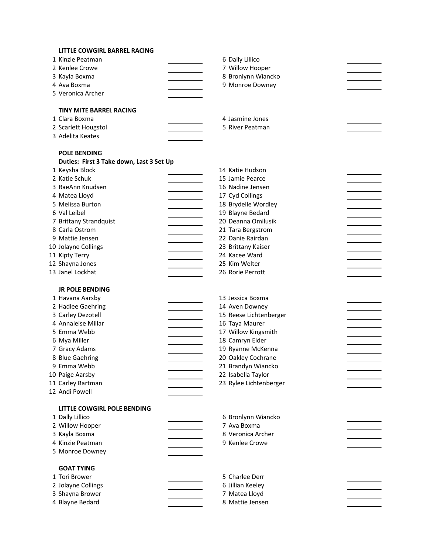| <b>LITTLE COWGIRL BARREL RACING</b>      |                        |  |
|------------------------------------------|------------------------|--|
| 1 Kinzie Peatman                         | 6 Dally Lillico        |  |
| 2 Kenlee Crowe                           | 7 Willow Hooper        |  |
| 3 Kayla Boxma                            | 8 Bronlynn Wiancko     |  |
| 4 Ava Boxma                              | 9 Monroe Downey        |  |
| 5 Veronica Archer                        |                        |  |
|                                          |                        |  |
| <b>TINY MITE BARREL RACING</b>           |                        |  |
| 1 Clara Boxma                            | 4 Jasmine Jones        |  |
| 2 Scarlett Hougstol                      | 5 River Peatman        |  |
| 3 Adelita Keates                         |                        |  |
|                                          |                        |  |
| <b>POLE BENDING</b>                      |                        |  |
| Duties: First 3 Take down, Last 3 Set Up |                        |  |
| 1 Keysha Block                           | 14 Katie Hudson        |  |
| 2 Katie Schuk                            | 15 Jamie Pearce        |  |
| 3 RaeAnn Knudsen                         | 16 Nadine Jensen       |  |
| 4 Matea Lloyd                            | 17 Cyd Collings        |  |
| 5 Melissa Burton                         | 18 Brydelle Wordley    |  |
| 6 Val Leibel                             | 19 Blayne Bedard       |  |
| 7 Brittany Strandquist                   | 20 Deanna Omilusik     |  |
| 8 Carla Ostrom                           | 21 Tara Bergstrom      |  |
| 9 Mattie Jensen                          | 22 Danie Rairdan       |  |
| 10 Jolayne Collings                      | 23 Brittany Kaiser     |  |
| 11 Kipty Terry                           | 24 Kacee Ward          |  |
| 12 Shayna Jones                          | 25 Kim Welter          |  |
| 13 Janel Lockhat                         | 26 Rorie Perrott       |  |
|                                          |                        |  |
| <b>JR POLE BENDING</b>                   |                        |  |
| 1 Havana Aarsby                          | 13 Jessica Boxma       |  |
| 2 Hadlee Gaehring                        | 14 Aven Downey         |  |
| 3 Carley Dezotell                        | 15 Reese Lichtenberger |  |
| 4 Annaleise Millar                       | 16 Taya Maurer         |  |
| 5 Emma Webb                              | 17 Willow Kingsmith    |  |
| 6 Mya Miller                             | 18 Camryn Elder        |  |
| 7 Gracy Adams                            | 19 Ryanne McKenna      |  |
| 8 Blue Gaehring                          | 20 Oakley Cochrane     |  |
| 9 Emma Webb                              | 21 Brandyn Wiancko     |  |
| 10 Paige Aarsby                          | 22 Isabella Taylor     |  |
| 11 Carley Bartman                        | 23 Rylee Lichtenberger |  |
| 12 Andi Powell                           |                        |  |
|                                          |                        |  |
| <b>LITTLE COWGIRL POLE BENDING</b>       |                        |  |
| 1 Dally Lillico                          | 6 Bronlynn Wiancko     |  |
| 2 Willow Hooper                          | 7 Ava Boxma            |  |
| 3 Kayla Boxma                            | 8 Veronica Archer      |  |
| 4 Kinzie Peatman                         | 9 Kenlee Crowe         |  |
| 5 Monroe Downey                          |                        |  |
|                                          |                        |  |
| <b>GOAT TYING</b>                        |                        |  |
| 1 Tori Brower                            | 5 Charlee Derr         |  |
| 2 Jolayne Collings                       | 6 Jillian Keeley       |  |
| 3 Shayna Brower                          | 7 Matea Lloyd          |  |
| 4 Blayne Bedard                          | 8 Mattie Jensen        |  |
|                                          |                        |  |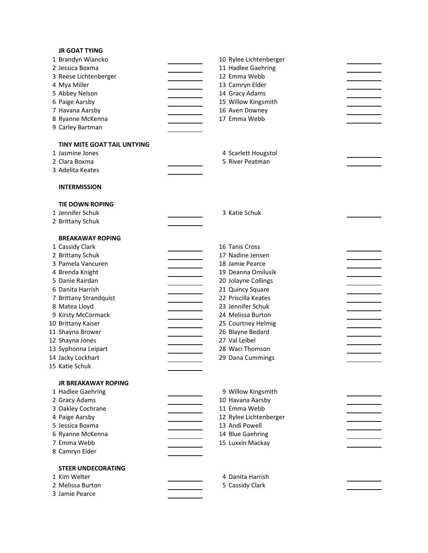## **JR GOAT TYING**

| 1 Brandyn Wiancko                         | 10 Rylee Lichtenberger |  |
|-------------------------------------------|------------------------|--|
| 2 Jessica Boxma                           | 11 Hadlee Gaehring     |  |
| 3 Reese Lichtenberger                     | 12 Emma Webb           |  |
| 4 Mya Miller                              | 13 Camryn Elder        |  |
| 5 Abbey Nelson                            | 14 Gracy Adams         |  |
| 6 Paige Aarsby                            | 15 Willow Kingsmith    |  |
| 7 Havana Aarsby                           | 16 Aven Downey         |  |
| 8 Ryanne McKenna                          | 17 Emma Webb           |  |
| 9 Carley Bartman                          |                        |  |
|                                           |                        |  |
| <b>TINY MITE GOAT TAIL UNTYING</b>        |                        |  |
| 1 Jasmine Jones                           | 4 Scarlett Hougstol    |  |
| 2 Clara Boxma                             | 5 River Peatman        |  |
| 3 Adelita Keates                          |                        |  |
| <b>INTERMISSION</b>                       |                        |  |
|                                           |                        |  |
| <b>TIE DOWN ROPING</b>                    |                        |  |
| 1 Jennifer Schuk                          | 3 Katie Schuk          |  |
| 2 Brittany Schuk                          |                        |  |
| <b>BREAKAWAY ROPING</b>                   |                        |  |
| 1 Cassidy Clark                           | 16 Tanis Cross         |  |
| 2 Brittany Schuk                          | 17 Nadine Jensen       |  |
| 3 Pamela Vancuren                         | 18 Jamie Pearce        |  |
| 4 Brenda Knight                           | 19 Deanna Omilusik     |  |
| 5 Danie Rairdan                           | 20 Jolayne Collings    |  |
| 6 Danita Harrish                          | 21 Quincy Square       |  |
| 7 Brittany Strandquist                    | 22 Priscilla Keates    |  |
| 8 Matea Lloyd                             | 23 Jennifer Schuk      |  |
| 9 Kirsty McCormack                        | 24 Melissa Burton      |  |
| 10 Brittany Kaiser                        | 25 Courtney Helmig     |  |
| 11 Shayna Brower                          | 26 Blayne Bedard       |  |
| 12 Shayna Jones                           | 27 Val Leibel          |  |
| 13 Syphonna Leipart                       | 28 Waci Thomson        |  |
| 14 Jacky Lockhart                         | 29 Dana Cummings       |  |
| 15 Katie Schuk                            |                        |  |
| JR BREAKAWAY ROPING                       |                        |  |
| 1 Hadlee Gaehring                         | 9 Willow Kingsmith     |  |
| 2 Gracy Adams                             | 10 Havana Aarsby       |  |
| 3 Oakley Cochrane                         | 11 Emma Webb           |  |
| 4 Paige Aarsby                            | 12 Rylee Lichtenberger |  |
| 5 Jessica Boxma                           | 13 Andi Powell         |  |
| 6 Ryanne McKenna                          | 14 Blue Gaehring       |  |
| 7 Emma Webb                               | 15 Luxxin Mackay       |  |
| 8 Camryn Elder                            |                        |  |
|                                           |                        |  |
| <b>STEER UNDECORATING</b><br>1 Kim Welter | 4 Danita Harrish       |  |
| 2 Melissa Burton                          | 5 Cassidy Clark        |  |
| 3 Jamie Pearce                            |                        |  |
|                                           |                        |  |